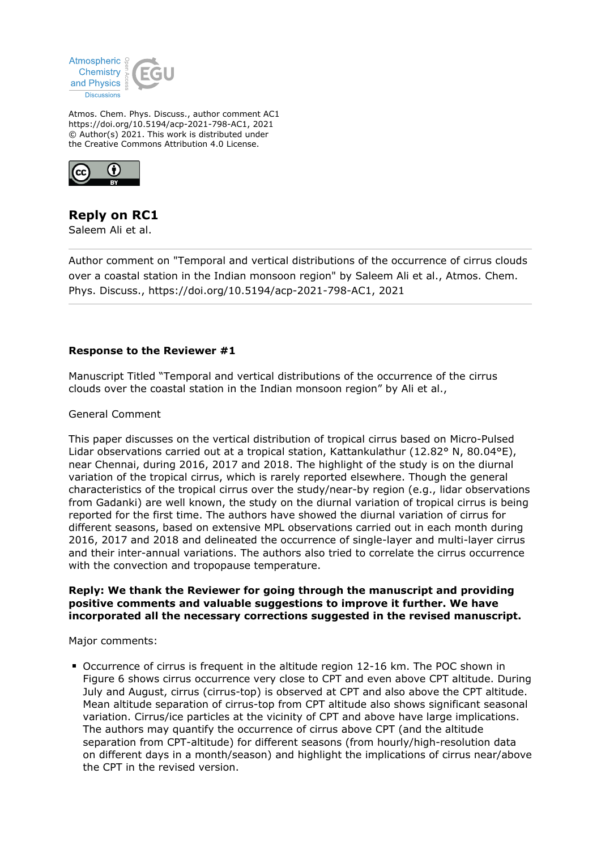

Atmos. Chem. Phys. Discuss., author comment AC1 https://doi.org/10.5194/acp-2021-798-AC1, 2021 © Author(s) 2021. This work is distributed under the Creative Commons Attribution 4.0 License.



# **Reply on RC1**

Saleem Ali et al.

Author comment on "Temporal and vertical distributions of the occurrence of cirrus clouds over a coastal station in the Indian monsoon region" by Saleem Ali et al., Atmos. Chem. Phys. Discuss., https://doi.org/10.5194/acp-2021-798-AC1, 2021

## **Response to the Reviewer #1**

Manuscript Titled "Temporal and vertical distributions of the occurrence of the cirrus clouds over the coastal station in the Indian monsoon region" by Ali et al.,

General Comment

This paper discusses on the vertical distribution of tropical cirrus based on Micro-Pulsed Lidar observations carried out at a tropical station, Kattankulathur (12.82° N, 80.04°E), near Chennai, during 2016, 2017 and 2018. The highlight of the study is on the diurnal variation of the tropical cirrus, which is rarely reported elsewhere. Though the general characteristics of the tropical cirrus over the study/near-by region (e.g., lidar observations from Gadanki) are well known, the study on the diurnal variation of tropical cirrus is being reported for the first time. The authors have showed the diurnal variation of cirrus for different seasons, based on extensive MPL observations carried out in each month during 2016, 2017 and 2018 and delineated the occurrence of single-layer and multi-layer cirrus and their inter-annual variations. The authors also tried to correlate the cirrus occurrence with the convection and tropopause temperature.

## **Reply: We thank the Reviewer for going through the manuscript and providing positive comments and valuable suggestions to improve it further. We have incorporated all the necessary corrections suggested in the revised manuscript.**

Major comments:

Occurrence of cirrus is frequent in the altitude region 12-16 km. The POC shown in Figure 6 shows cirrus occurrence very close to CPT and even above CPT altitude. During July and August, cirrus (cirrus-top) is observed at CPT and also above the CPT altitude. Mean altitude separation of cirrus-top from CPT altitude also shows significant seasonal variation. Cirrus/ice particles at the vicinity of CPT and above have large implications. The authors may quantify the occurrence of cirrus above CPT (and the altitude separation from CPT-altitude) for different seasons (from hourly/high-resolution data on different days in a month/season) and highlight the implications of cirrus near/above the CPT in the revised version.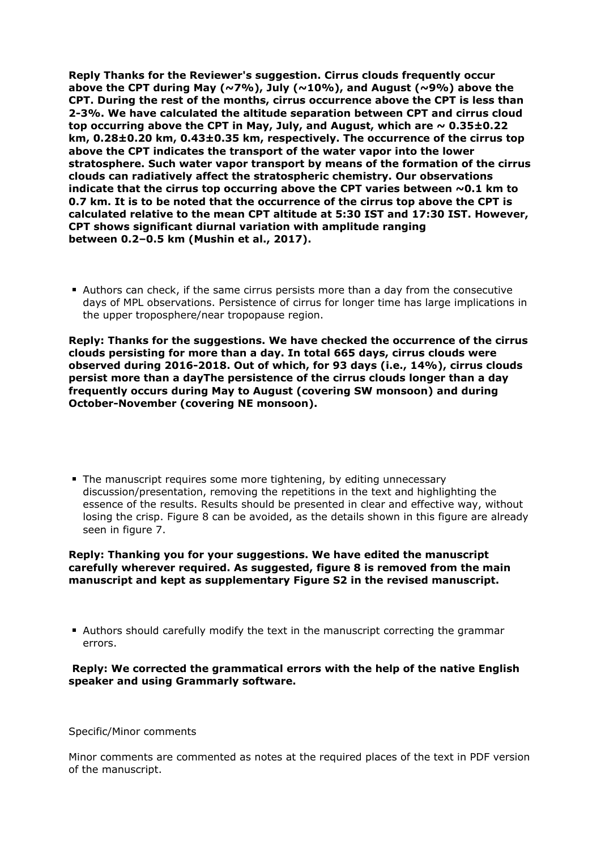**Reply Thanks for the Reviewer's suggestion. Cirrus clouds frequently occur above the CPT during May (~7%), July (~10%), and August (~9%) above the CPT. During the rest of the months, cirrus occurrence above the CPT is less than 2-3%. We have calculated the altitude separation between CPT and cirrus cloud** top occurring above the CPT in May, July, and August, which are  $\sim 0.35 \pm 0.22$ **km, 0.28±0.20 km, 0.43±0.35 km, respectively. The occurrence of the cirrus top above the CPT indicates the transport of the water vapor into the lower stratosphere. Such water vapor transport by means of the formation of the cirrus clouds can radiatively affect the stratospheric chemistry. Our observations indicate that the cirrus top occurring above the CPT varies between ~0.1 km to 0.7 km. It is to be noted that the occurrence of the cirrus top above the CPT is calculated relative to the mean CPT altitude at 5:30 IST and 17:30 IST. However, CPT shows significant diurnal variation with amplitude ranging between 0.2–0.5 km (Mushin et al., 2017).** 

Authors can check, if the same cirrus persists more than a day from the consecutive days of MPL observations. Persistence of cirrus for longer time has large implications in the upper troposphere/near tropopause region.

**Reply: Thanks for the suggestions. We have checked the occurrence of the cirrus clouds persisting for more than a day. In total 665 days, cirrus clouds were observed during 2016-2018. Out of which, for 93 days (i.e., 14%), cirrus clouds persist more than a dayThe persistence of the cirrus clouds longer than a day frequently occurs during May to August (covering SW monsoon) and during October-November (covering NE monsoon).**

The manuscript requires some more tightening, by editing unnecessary discussion/presentation, removing the repetitions in the text and highlighting the essence of the results. Results should be presented in clear and effective way, without losing the crisp. Figure 8 can be avoided, as the details shown in this figure are already seen in figure 7.

#### **Reply: Thanking you for your suggestions. We have edited the manuscript carefully wherever required. As suggested, figure 8 is removed from the main manuscript and kept as supplementary Figure S2 in the revised manuscript.**

Authors should carefully modify the text in the manuscript correcting the grammar errors.

## **Reply: We corrected the grammatical errors with the help of the native English speaker and using Grammarly software.**

Specific/Minor comments

Minor comments are commented as notes at the required places of the text in PDF version of the manuscript.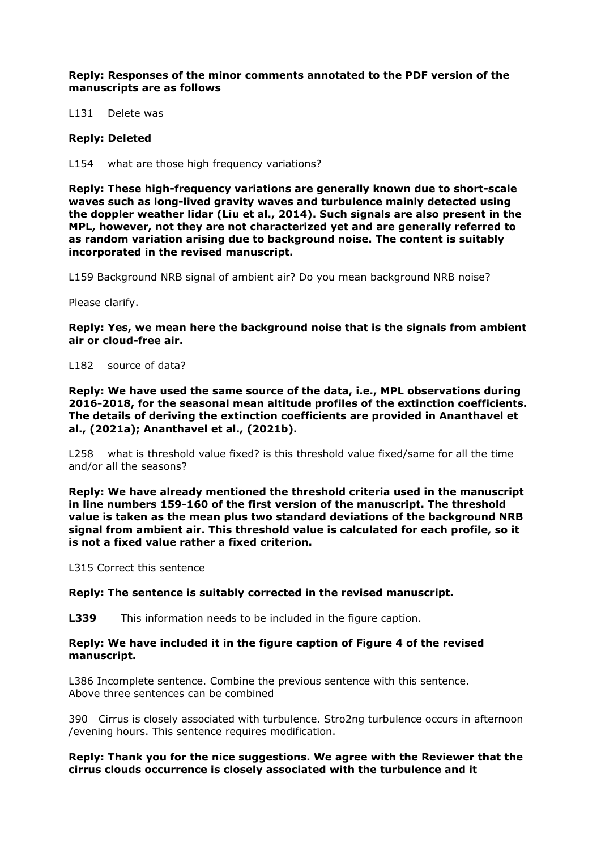**Reply: Responses of the minor comments annotated to the PDF version of the manuscripts are as follows**

L131 Delete was

#### **Reply: Deleted**

L154 what are those high frequency variations?

**Reply: These high-frequency variations are generally known due to short-scale waves such as long-lived gravity waves and turbulence mainly detected using the doppler weather lidar (Liu et al., 2014). Such signals are also present in the MPL, however, not they are not characterized yet and are generally referred to as random variation arising due to background noise. The content is suitably incorporated in the revised manuscript.** 

L159 Background NRB signal of ambient air? Do you mean background NRB noise?

Please clarify.

**Reply: Yes, we mean here the background noise that is the signals from ambient air or cloud-free air.** 

L182 source of data?

**Reply: We have used the same source of the data, i.e., MPL observations during 2016-2018, for the seasonal mean altitude profiles of the extinction coefficients. The details of deriving the extinction coefficients are provided in Ananthavel et al., (2021a); Ananthavel et al., (2021b).**

L258 what is threshold value fixed? is this threshold value fixed/same for all the time and/or all the seasons?

**Reply: We have already mentioned the threshold criteria used in the manuscript in line numbers 159-160 of the first version of the manuscript. The threshold value is taken as the mean plus two standard deviations of the background NRB signal from ambient air. This threshold value is calculated for each profile, so it is not a fixed value rather a fixed criterion.** 

L315 Correct this sentence

#### **Reply: The sentence is suitably corrected in the revised manuscript.**

**L339** This information needs to be included in the figure caption.

#### **Reply: We have included it in the figure caption of Figure 4 of the revised manuscript.**

L386 Incomplete sentence. Combine the previous sentence with this sentence. Above three sentences can be combined

390 Cirrus is closely associated with turbulence. Stro2ng turbulence occurs in afternoon /evening hours. This sentence requires modification.

## **Reply: Thank you for the nice suggestions. We agree with the Reviewer that the cirrus clouds occurrence is closely associated with the turbulence and it**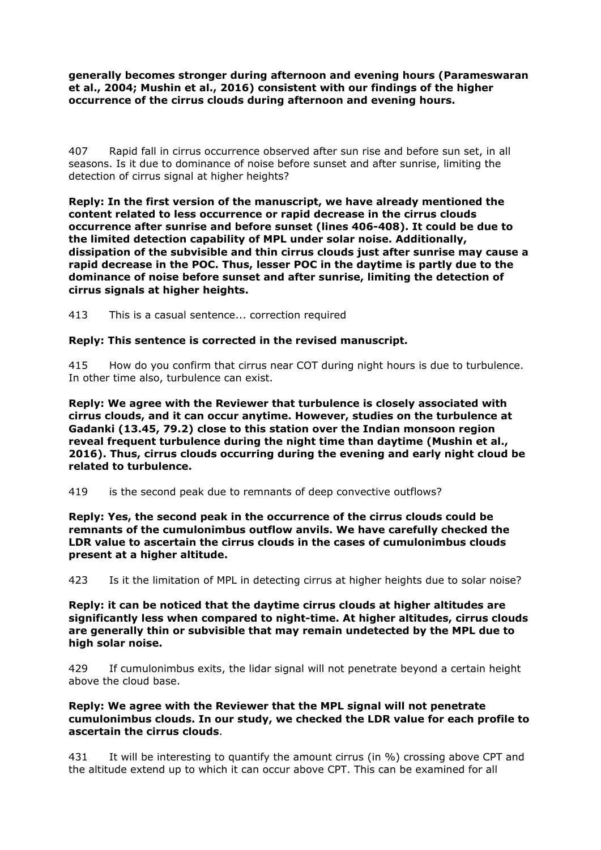**generally becomes stronger during afternoon and evening hours (Parameswaran et al., 2004; Mushin et al., 2016) consistent with our findings of the higher occurrence of the cirrus clouds during afternoon and evening hours.**

407 Rapid fall in cirrus occurrence observed after sun rise and before sun set, in all seasons. Is it due to dominance of noise before sunset and after sunrise, limiting the detection of cirrus signal at higher heights?

**Reply: In the first version of the manuscript, we have already mentioned the content related to less occurrence or rapid decrease in the cirrus clouds occurrence after sunrise and before sunset (lines 406-408). It could be due to the limited detection capability of MPL under solar noise. Additionally, dissipation of the subvisible and thin cirrus clouds just after sunrise may cause a rapid decrease in the POC. Thus, lesser POC in the daytime is partly due to the dominance of noise before sunset and after sunrise, limiting the detection of cirrus signals at higher heights.**

413 This is a casual sentence... correction required

## **Reply: This sentence is corrected in the revised manuscript.**

415 How do you confirm that cirrus near COT during night hours is due to turbulence. In other time also, turbulence can exist.

**Reply: We agree with the Reviewer that turbulence is closely associated with cirrus clouds, and it can occur anytime. However, studies on the turbulence at Gadanki (13.45, 79.2) close to this station over the Indian monsoon region reveal frequent turbulence during the night time than daytime (Mushin et al., 2016). Thus, cirrus clouds occurring during the evening and early night cloud be related to turbulence.** 

419 is the second peak due to remnants of deep convective outflows?

**Reply: Yes, the second peak in the occurrence of the cirrus clouds could be remnants of the cumulonimbus outflow anvils. We have carefully checked the LDR value to ascertain the cirrus clouds in the cases of cumulonimbus clouds present at a higher altitude.** 

423 Is it the limitation of MPL in detecting cirrus at higher heights due to solar noise?

**Reply: it can be noticed that the daytime cirrus clouds at higher altitudes are significantly less when compared to night-time. At higher altitudes, cirrus clouds are generally thin or subvisible that may remain undetected by the MPL due to high solar noise.**

429 If cumulonimbus exits, the lidar signal will not penetrate beyond a certain height above the cloud base.

#### **Reply: We agree with the Reviewer that the MPL signal will not penetrate cumulonimbus clouds. In our study, we checked the LDR value for each profile to ascertain the cirrus clouds**.

431 It will be interesting to quantify the amount cirrus (in %) crossing above CPT and the altitude extend up to which it can occur above CPT. This can be examined for all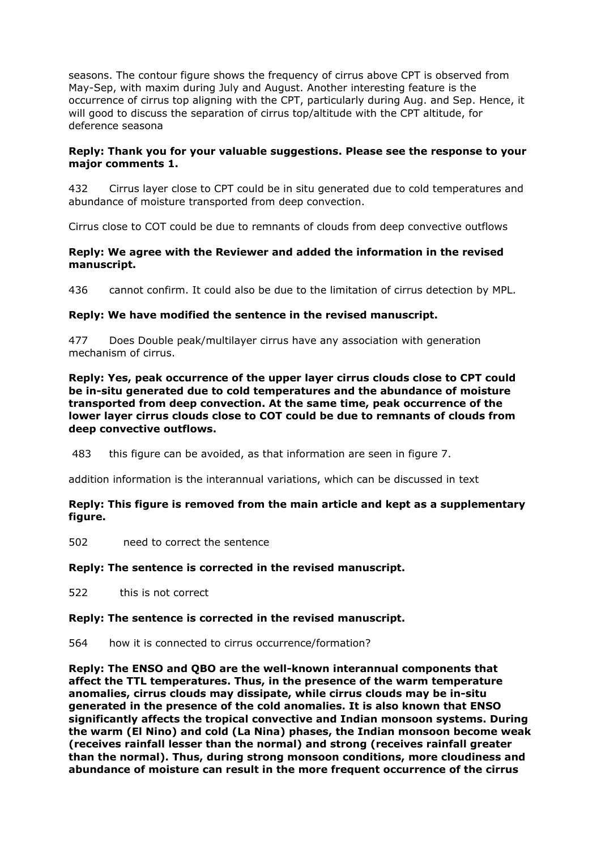seasons. The contour figure shows the frequency of cirrus above CPT is observed from May-Sep, with maxim during July and August. Another interesting feature is the occurrence of cirrus top aligning with the CPT, particularly during Aug. and Sep. Hence, it will good to discuss the separation of cirrus top/altitude with the CPT altitude, for deference seasona

## **Reply: Thank you for your valuable suggestions. Please see the response to your major comments 1.**

432 Cirrus layer close to CPT could be in situ generated due to cold temperatures and abundance of moisture transported from deep convection.

Cirrus close to COT could be due to remnants of clouds from deep convective outflows

## **Reply: We agree with the Reviewer and added the information in the revised manuscript.**

436 cannot confirm. It could also be due to the limitation of cirrus detection by MPL.

## **Reply: We have modified the sentence in the revised manuscript.**

477 Does Double peak/multilayer cirrus have any association with generation mechanism of cirrus.

**Reply: Yes, peak occurrence of the upper layer cirrus clouds close to CPT could be in-situ generated due to cold temperatures and the abundance of moisture transported from deep convection. At the same time, peak occurrence of the lower layer cirrus clouds close to COT could be due to remnants of clouds from deep convective outflows.** 

483 this figure can be avoided, as that information are seen in figure 7.

addition information is the interannual variations, which can be discussed in text

## **Reply: This figure is removed from the main article and kept as a supplementary figure.**

502 need to correct the sentence

## **Reply: The sentence is corrected in the revised manuscript.**

522 this is not correct

#### **Reply: The sentence is corrected in the revised manuscript.**

564 how it is connected to cirrus occurrence/formation?

**Reply: The ENSO and QBO are the well-known interannual components that affect the TTL temperatures. Thus, in the presence of the warm temperature anomalies, cirrus clouds may dissipate, while cirrus clouds may be in-situ generated in the presence of the cold anomalies. It is also known that ENSO significantly affects the tropical convective and Indian monsoon systems. During the warm (El Nino) and cold (La Nina) phases, the Indian monsoon become weak (receives rainfall lesser than the normal) and strong (receives rainfall greater than the normal). Thus, during strong monsoon conditions, more cloudiness and abundance of moisture can result in the more frequent occurrence of the cirrus**